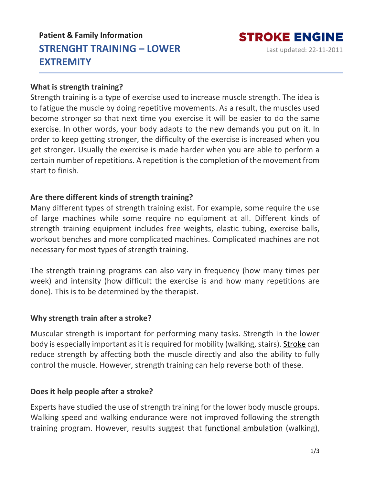# **Patient & Family Information STRENGHT TRAINING – LOWER EXTREMITY**

## **STROKE ENGINE** Last updated: 22-11-2011

#### **What is strength training?**

Strength training is a type of exercise used to increase muscle strength. The idea is to fatigue the muscle by doing repetitive movements. As a result, the muscles used become stronger so that next time you exercise it will be easier to do the same exercise. In other words, your body adapts to the new demands you put on it. In order to keep getting stronger, the difficulty of the exercise is increased when you get stronger. Usually the exercise is made harder when you are able to perform a certain number of repetitions. A repetition isthe completion of the movement from start to finish.

## **Are there different kinds of strength training?**

Many different types of strength training exist. For example, some require the use of large machines while some require no equipment at all. Different kinds of strength training equipment includes free weights, elastic tubing, exercise balls, workout benches and more complicated machines. Complicated machines are not necessary for most types of strength training.

The strength training programs can also vary in frequency (how many times per week) and intensity (how difficult the exercise is and how many repetitions are done). This is to be determined by the therapist.

#### **Why strength train after a stroke?**

Muscular strength is important for performing many tasks. Strength in the lower body is especially important as it is required for mobility (walking, stairs). [Stroke](https://www.strokengine.ca/en/glossary/stroke/) can reduce strength by affecting both the muscle directly and also the ability to fully control the muscle. However, strength training can help reverse both of these.

## **Does it help people after a stroke?**

Experts have studied the use of strength training for the lower body muscle groups. Walking speed and walking endurance were not improved following the strength training program. However, results suggest that functional [ambulation](https://www.strokengine.ca/en/glossary/functional-ambulation/) (walking),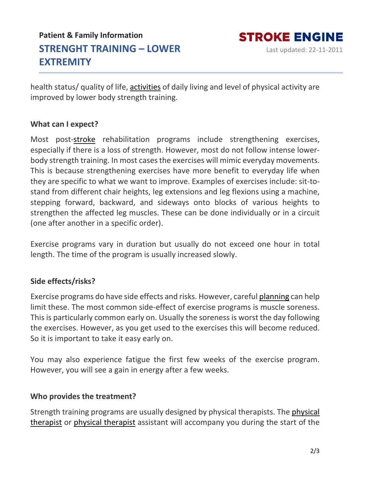# **Patient & Family Information STRENGHT TRAINING – LOWER EXTREMITY**

health status/ quality of life, [activities](https://www.strokengine.ca/en/glossary/activities/) of daily living and level of physical activity are improved by lower body strength training.

## **What can I expect?**

Most post[-stroke](https://www.strokengine.ca/en/glossary/stroke/) rehabilitation programs include strengthening exercises, especially if there is a loss of strength. However, most do not follow intense lowerbody strength training. In most cases the exercises will mimic everyday movements. This is because strengthening exercises have more benefit to everyday life when they are specific to what we want to improve. Examples of exercises include: sit-tostand from different chair heights, leg extensions and leg flexions using a machine, stepping forward, backward, and sideways onto blocks of various heights to strengthen the affected leg muscles. These can be done individually or in a circuit (one after another in a specific order).

Exercise programs vary in duration but usually do not exceed one hour in total length. The time of the program is usually increased slowly.

## **Side effects/risks?**

Exercise programs do have side effects and risks. However, careful [planning](https://www.strokengine.ca/en/glossary/planning/) can help limit these. The most common side-effect of exercise programs is muscle soreness. This is particularly common early on. Usually the soreness is worst the day following the exercises. However, as you get used to the exercises this will become reduced. So it is important to take it easy early on.

You may also experience fatigue the first few weeks of the exercise program. However, you will see a gain in energy after a few weeks.

## **Who provides the treatment?**

Strength training programs are usually designed by physical therapists. The [physical](https://www.strokengine.ca/en/glossary/physical-therapist/) [therapist](https://www.strokengine.ca/en/glossary/physical-therapist/) or physical [therapist](https://www.strokengine.ca/en/glossary/physical-therapist/) assistant will accompany you during the start of the